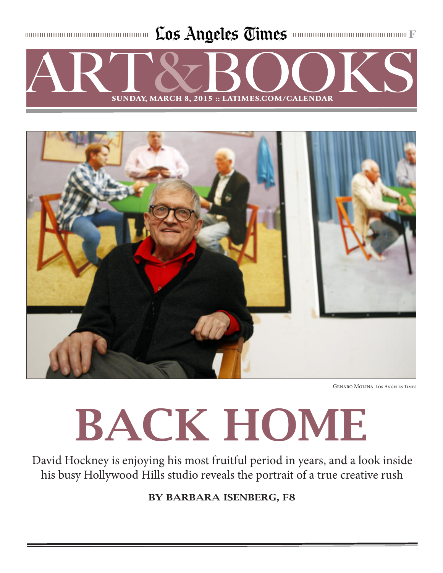Los Angeles Times **monumumumumumumumum** 





Genaro Molina Los Angeles Times

# BACK HOME

David Hockney is enjoying his most fruitful period in years, and a look inside his busy Hollywood Hills studio reveals the portrait of a true creative rush

BY BARBARA ISENBERG, F8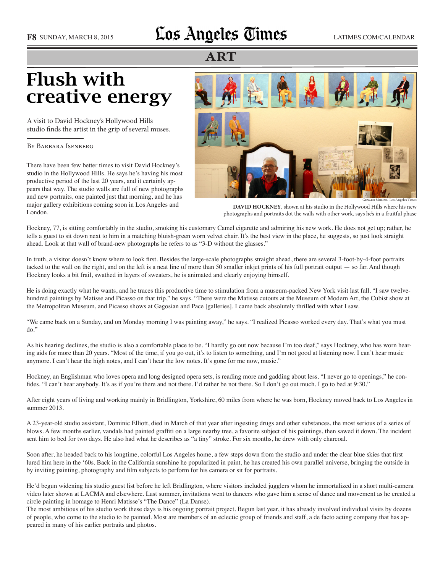### F8 SUNDAY, MARCH 8, 2015 **LOS Angeles Times** LATIMES.COM/CALENDAR

#### **ART**

## Flush with creative energy

A visit to David Hockney's Hollywood Hills studio finds the artist in the grip of several muses.

#### By Barbara Isenberg

There have been few better times to visit David Hockney's studio in the Hollywood Hills. He says he's having his most productive period of the last 20 years, and it certainly appears that way. The studio walls are full of new photographs and new portraits, one painted just that morning, and he has major gallery exhibitions coming soon in Los Angeles and London.



**DAVID HOCKNEY**, shown at his studio in the Hollywood Hills where his new photographs and portraits dot the walls with other work, says he's in a fruitful phase

Hockney, 77, is sitting comfortably in the studio, smoking his customary Camel cigarette and admiring his new work. He does not get up; rather, he tells a guest to sit down next to him in a matching bluish-green worn velvet chair. It's the best view in the place, he suggests, so just look straight ahead. Look at that wall of brand-new photographs he refers to as "3-D without the glasses."

In truth, a visitor doesn't know where to look first. Besides the large-scale photographs straight ahead, there are several 3-foot-by-4-foot portraits tacked to the wall on the right, and on the left is a neat line of more than 50 smaller inkjet prints of his full portrait output — so far. And though Hockney looks a bit frail, swathed in layers of sweaters, he is animated and clearly enjoying himself.

He is doing exactly what he wants, and he traces this productive time to stimulation from a museum-packed New York visit last fall. "I saw twelvehundred paintings by Matisse and Picasso on that trip," he says. "There were the Matisse cutouts at the Museum of Modern Art, the Cubist show at the Metropolitan Museum, and Picasso shows at Gagosian and Pace [galleries]. I came back absolutely thrilled with what I saw.

"We came back on a Sunday, and on Monday morning I was painting away," he says. "I realized Picasso worked every day. That's what you must do."

As his hearing declines, the studio is also a comfortable place to be. "I hardly go out now because I'm too deaf," says Hockney, who has worn hearing aids for more than 20 years. "Most of the time, if you go out, it's to listen to something, and I'm not good at listening now. I can't hear music anymore. I can't hear the high notes, and I can't hear the low notes. It's gone for me now, music."

Hockney, an Englishman who loves opera and long designed opera sets, is reading more and gadding about less. "I never go to openings," he confides. "I can't hear anybody. It's as if you're there and not there. I'd rather be not there. So I don't go out much. I go to bed at 9:30."

After eight years of living and working mainly in Bridlington, Yorkshire, 60 miles from where he was born, Hockney moved back to Los Angeles in summer 2013.

A 23-year-old studio assistant, Dominic Elliott, died in March of that year after ingesting drugs and other substances, the most serious of a series of blows. A few months earlier, vandals had painted graffiti on a large nearby tree, a favorite subject of his paintings, then sawed it down. The incident sent him to bed for two days. He also had what he describes as "a tiny" stroke. For six months, he drew with only charcoal.

Soon after, he headed back to his longtime, colorful Los Angeles home, a few steps down from the studio and under the clear blue skies that first lured him here in the '60s. Back in the California sunshine he popularized in paint, he has created his own parallel universe, bringing the outside in by inviting painting, photography and film subjects to perform for his camera or sit for portraits.

He'd begun widening his studio guest list before he left Bridlington, where visitors included jugglers whom he immortalized in a short multi-camera video later shown at LACMA and elsewhere. Last summer, invitations went to dancers who gave him a sense of dance and movement as he created a circle painting in homage to Henri Matisse's "The Dance" (La Danse).

The most ambitious of his studio work these days is his ongoing portrait project. Begun last year, it has already involved individual visits by dozens of people, who come to the studio to be painted. Most are members of an eclectic group of friends and staff, a de facto acting company that has appeared in many of his earlier portraits and photos.